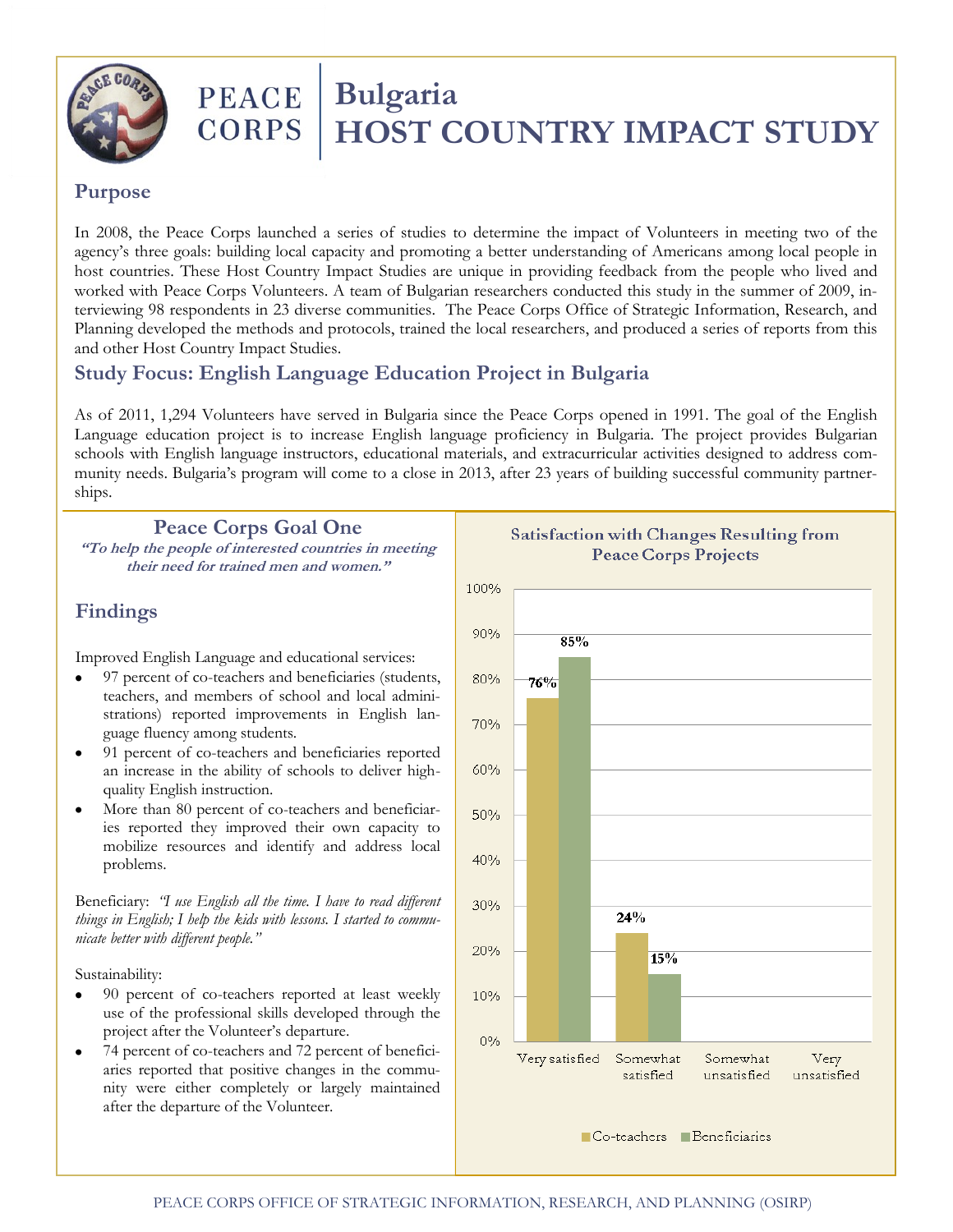

# PEACE | Bulgaria<br>CORPS | HOST C  **HOST COUNTRY IMPACT STUDY**

### **Purpose**

In 2008, the Peace Corps launched a series of studies to determine the impact of Volunteers in meeting two of the agency's three goals: building local capacity and promoting a better understanding of Americans among local people in host countries. These Host Country Impact Studies are unique in providing feedback from the people who lived and worked with Peace Corps Volunteers. A team of Bulgarian researchers conducted this study in the summer of 2009, interviewing 98 respondents in 23 diverse communities. The Peace Corps Office of Strategic Information, Research, and Planning developed the methods and protocols, trained the local researchers, and produced a series of reports from this and other Host Country Impact Studies.

# **Study Focus: English Language Education Project in Bulgaria**

As of 2011, 1,294 Volunteers have served in Bulgaria since the Peace Corps opened in 1991. The goal of the English Language education project is to increase English language proficiency in Bulgaria. The project provides Bulgarian schools with English language instructors, educational materials, and extracurricular activities designed to address community needs. Bulgaria's program will come to a close in 2013, after 23 years of building successful community partnerships.

#### **Peace Corps Goal One**

**"To help the people of interested countries in meeting their need for trained men and women."**

# **Findings**

Improved English Language and educational services:

- 97 percent of co-teachers and beneficiaries (students, teachers, and members of school and local administrations) reported improvements in English language fluency among students.
- 91 percent of co-teachers and beneficiaries reported an increase in the ability of schools to deliver highquality English instruction.
- More than 80 percent of co-teachers and beneficiaries reported they improved their own capacity to mobilize resources and identify and address local problems.

Beneficiary: *"I use English all the time. I have to read different things in English; I help the kids with lessons. I started to communicate better with different people."*

Sustainability:

- $\bullet$ 90 percent of co-teachers reported at least weekly use of the professional skills developed through the project after the Volunteer's departure.
- 74 percent of co-teachers and 72 percent of beneficiaries reported that positive changes in the community were either completely or largely maintained after the departure of the Volunteer.